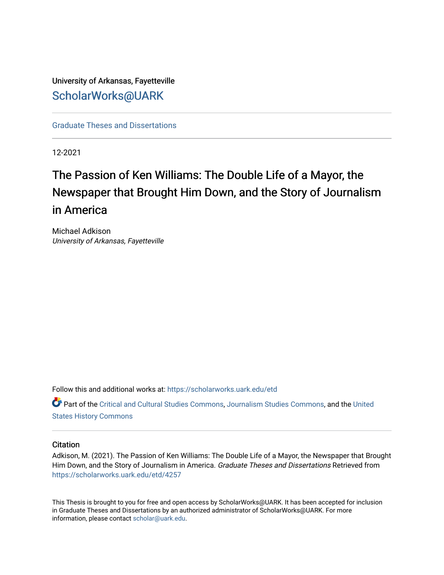## University of Arkansas, Fayetteville [ScholarWorks@UARK](https://scholarworks.uark.edu/)

[Graduate Theses and Dissertations](https://scholarworks.uark.edu/etd) 

12-2021

# The Passion of Ken Williams: The Double Life of a Mayor, the Newspaper that Brought Him Down, and the Story of Journalism in America

Michael Adkison University of Arkansas, Fayetteville

Follow this and additional works at: [https://scholarworks.uark.edu/etd](https://scholarworks.uark.edu/etd?utm_source=scholarworks.uark.edu%2Fetd%2F4257&utm_medium=PDF&utm_campaign=PDFCoverPages)

Part of the [Critical and Cultural Studies Commons](http://network.bepress.com/hgg/discipline/328?utm_source=scholarworks.uark.edu%2Fetd%2F4257&utm_medium=PDF&utm_campaign=PDFCoverPages), [Journalism Studies Commons](http://network.bepress.com/hgg/discipline/333?utm_source=scholarworks.uark.edu%2Fetd%2F4257&utm_medium=PDF&utm_campaign=PDFCoverPages), and the [United](http://network.bepress.com/hgg/discipline/495?utm_source=scholarworks.uark.edu%2Fetd%2F4257&utm_medium=PDF&utm_campaign=PDFCoverPages)  [States History Commons](http://network.bepress.com/hgg/discipline/495?utm_source=scholarworks.uark.edu%2Fetd%2F4257&utm_medium=PDF&utm_campaign=PDFCoverPages)

#### **Citation**

Adkison, M. (2021). The Passion of Ken Williams: The Double Life of a Mayor, the Newspaper that Brought Him Down, and the Story of Journalism in America. Graduate Theses and Dissertations Retrieved from [https://scholarworks.uark.edu/etd/4257](https://scholarworks.uark.edu/etd/4257?utm_source=scholarworks.uark.edu%2Fetd%2F4257&utm_medium=PDF&utm_campaign=PDFCoverPages)

This Thesis is brought to you for free and open access by ScholarWorks@UARK. It has been accepted for inclusion in Graduate Theses and Dissertations by an authorized administrator of ScholarWorks@UARK. For more information, please contact [scholar@uark.edu.](mailto:scholar@uark.edu)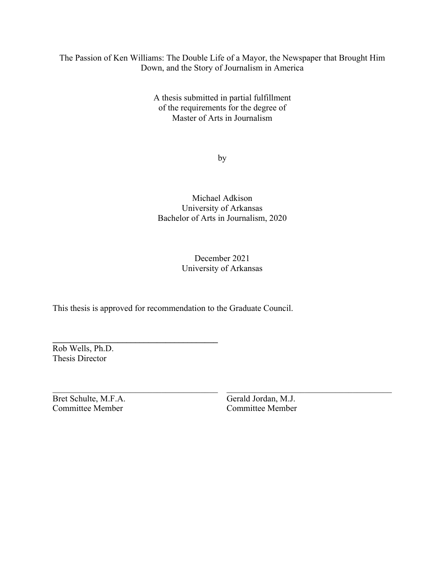## The Passion of Ken Williams: The Double Life of a Mayor, the Newspaper that Brought Him Down, and the Story of Journalism in America

A thesis submitted in partial fulfillment of the requirements for the degree of Master of Arts in Journalism

by

### Michael Adkison University of Arkansas Bachelor of Arts in Journalism, 2020

## December 2021 University of Arkansas

This thesis is approved for recommendation to the Graduate Council.

**\_\_\_\_\_\_\_\_\_\_\_\_\_\_\_\_\_\_\_\_\_\_\_\_\_\_\_\_\_\_\_\_\_\_\_\_\_\_**

Rob Wells, Ph.D. Thesis Director

Bret Schulte, M.F.A. Gerald Jordan, M.J.<br>Committee Member Committee Member Committee Member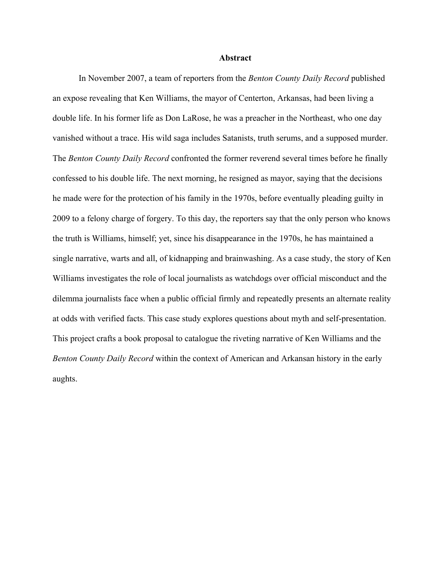#### **Abstract**

In November 2007, a team of reporters from the *Benton County Daily Record* published an expose revealing that Ken Williams, the mayor of Centerton, Arkansas, had been living a double life. In his former life as Don LaRose, he was a preacher in the Northeast, who one day vanished without a trace. His wild saga includes Satanists, truth serums, and a supposed murder. The *Benton County Daily Record* confronted the former reverend several times before he finally confessed to his double life. The next morning, he resigned as mayor, saying that the decisions he made were for the protection of his family in the 1970s, before eventually pleading guilty in 2009 to a felony charge of forgery. To this day, the reporters say that the only person who knows the truth is Williams, himself; yet, since his disappearance in the 1970s, he has maintained a single narrative, warts and all, of kidnapping and brainwashing. As a case study, the story of Ken Williams investigates the role of local journalists as watchdogs over official misconduct and the dilemma journalists face when a public official firmly and repeatedly presents an alternate reality at odds with verified facts. This case study explores questions about myth and self-presentation. This project crafts a book proposal to catalogue the riveting narrative of Ken Williams and the *Benton County Daily Record* within the context of American and Arkansan history in the early aughts.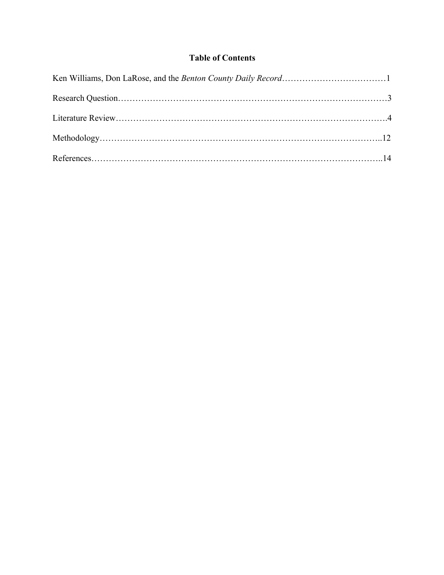## **Table of Contents**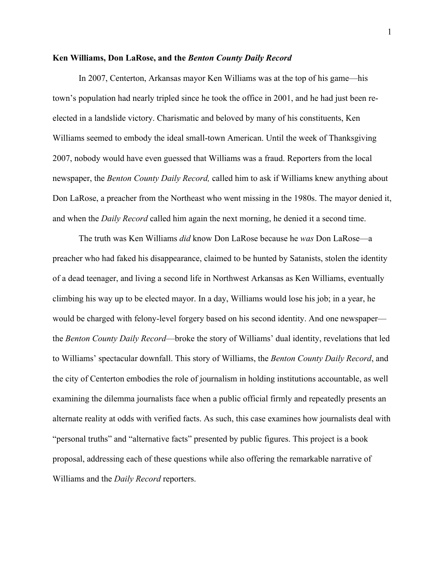#### **Ken Williams, Don LaRose, and the** *Benton County Daily Record*

In 2007, Centerton, Arkansas mayor Ken Williams was at the top of his game—his town's population had nearly tripled since he took the office in 2001, and he had just been reelected in a landslide victory. Charismatic and beloved by many of his constituents, Ken Williams seemed to embody the ideal small-town American. Until the week of Thanksgiving 2007, nobody would have even guessed that Williams was a fraud. Reporters from the local newspaper, the *Benton County Daily Record,* called him to ask if Williams knew anything about Don LaRose, a preacher from the Northeast who went missing in the 1980s. The mayor denied it, and when the *Daily Record* called him again the next morning, he denied it a second time.

The truth was Ken Williams *did* know Don LaRose because he *was* Don LaRose—a preacher who had faked his disappearance, claimed to be hunted by Satanists, stolen the identity of a dead teenager, and living a second life in Northwest Arkansas as Ken Williams, eventually climbing his way up to be elected mayor. In a day, Williams would lose his job; in a year, he would be charged with felony-level forgery based on his second identity. And one newspaper the *Benton County Daily Record*—broke the story of Williams' dual identity, revelations that led to Williams' spectacular downfall. This story of Williams, the *Benton County Daily Record*, and the city of Centerton embodies the role of journalism in holding institutions accountable, as well examining the dilemma journalists face when a public official firmly and repeatedly presents an alternate reality at odds with verified facts. As such, this case examines how journalists deal with "personal truths" and "alternative facts" presented by public figures. This project is a book proposal, addressing each of these questions while also offering the remarkable narrative of Williams and the *Daily Record* reporters.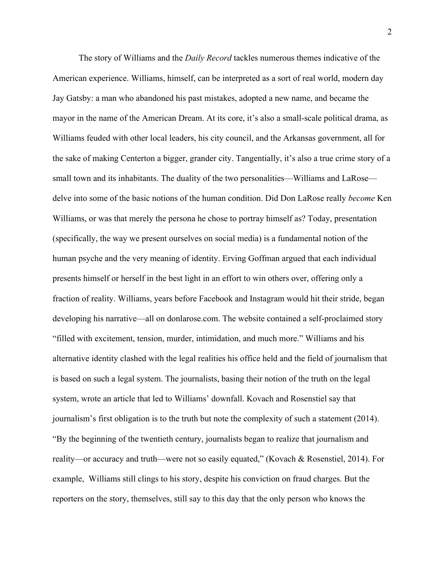The story of Williams and the *Daily Record* tackles numerous themes indicative of the American experience. Williams, himself, can be interpreted as a sort of real world, modern day Jay Gatsby: a man who abandoned his past mistakes, adopted a new name, and became the mayor in the name of the American Dream. At its core, it's also a small-scale political drama, as Williams feuded with other local leaders, his city council, and the Arkansas government, all for the sake of making Centerton a bigger, grander city. Tangentially, it's also a true crime story of a small town and its inhabitants. The duality of the two personalities—Williams and LaRose delve into some of the basic notions of the human condition. Did Don LaRose really *become* Ken Williams, or was that merely the persona he chose to portray himself as? Today, presentation (specifically, the way we present ourselves on social media) is a fundamental notion of the human psyche and the very meaning of identity. Erving Goffman argued that each individual presents himself or herself in the best light in an effort to win others over, offering only a fraction of reality. Williams, years before Facebook and Instagram would hit their stride, began developing his narrative—all on donlarose.com. The website contained a self-proclaimed story "filled with excitement, tension, murder, intimidation, and much more." Williams and his alternative identity clashed with the legal realities his office held and the field of journalism that is based on such a legal system. The journalists, basing their notion of the truth on the legal system, wrote an article that led to Williams' downfall. Kovach and Rosenstiel say that journalism's first obligation is to the truth but note the complexity of such a statement (2014). "By the beginning of the twentieth century, journalists began to realize that journalism and reality—or accuracy and truth—were not so easily equated," (Kovach & Rosenstiel, 2014). For example, Williams still clings to his story, despite his conviction on fraud charges. But the reporters on the story, themselves, still say to this day that the only person who knows the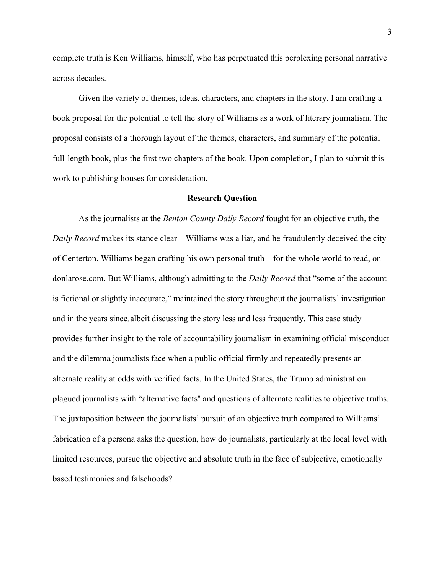complete truth is Ken Williams, himself, who has perpetuated this perplexing personal narrative across decades.

Given the variety of themes, ideas, characters, and chapters in the story, I am crafting a book proposal for the potential to tell the story of Williams as a work of literary journalism. The proposal consists of a thorough layout of the themes, characters, and summary of the potential full-length book, plus the first two chapters of the book. Upon completion, I plan to submit this work to publishing houses for consideration.

#### **Research Question**

As the journalists at the *Benton County Daily Record* fought for an objective truth, the *Daily Record* makes its stance clear—Williams was a liar, and he fraudulently deceived the city of Centerton. Williams began crafting his own personal truth—for the whole world to read, on donlarose.com. But Williams, although admitting to the *Daily Record* that "some of the account is fictional or slightly inaccurate," maintained the story throughout the journalists' investigation and in the years since, albeit discussing the story less and less frequently. This case study provides further insight to the role of accountability journalism in examining official misconduct and the dilemma journalists face when a public official firmly and repeatedly presents an alternate reality at odds with verified facts. In the United States, the Trump administration plagued journalists with "alternative facts'' and questions of alternate realities to objective truths. The juxtaposition between the journalists' pursuit of an objective truth compared to Williams' fabrication of a persona asks the question, how do journalists, particularly at the local level with limited resources, pursue the objective and absolute truth in the face of subjective, emotionally based testimonies and falsehoods?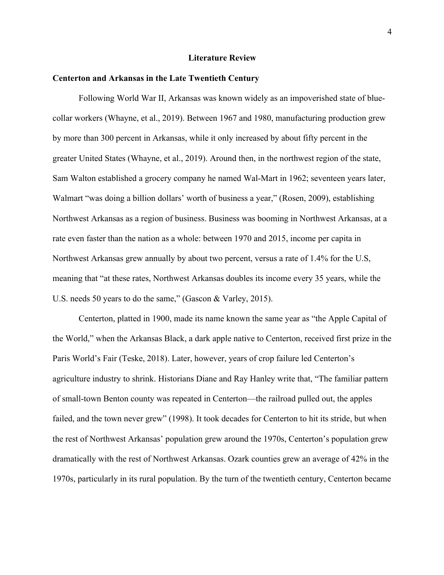#### **Literature Review**

#### **Centerton and Arkansas in the Late Twentieth Century**

Following World War II, Arkansas was known widely as an impoverished state of bluecollar workers (Whayne, et al., 2019). Between 1967 and 1980, manufacturing production grew by more than 300 percent in Arkansas, while it only increased by about fifty percent in the greater United States (Whayne, et al., 2019). Around then, in the northwest region of the state, Sam Walton established a grocery company he named Wal-Mart in 1962; seventeen years later, Walmart "was doing a billion dollars' worth of business a year," (Rosen, 2009), establishing Northwest Arkansas as a region of business. Business was booming in Northwest Arkansas, at a rate even faster than the nation as a whole: between 1970 and 2015, income per capita in Northwest Arkansas grew annually by about two percent, versus a rate of 1.4% for the U.S, meaning that "at these rates, Northwest Arkansas doubles its income every 35 years, while the U.S. needs 50 years to do the same," (Gascon & Varley, 2015).

Centerton, platted in 1900, made its name known the same year as "the Apple Capital of the World," when the Arkansas Black, a dark apple native to Centerton, received first prize in the Paris World's Fair (Teske, 2018). Later, however, years of crop failure led Centerton's agriculture industry to shrink. Historians Diane and Ray Hanley write that, "The familiar pattern of small-town Benton county was repeated in Centerton—the railroad pulled out, the apples failed, and the town never grew" (1998). It took decades for Centerton to hit its stride, but when the rest of Northwest Arkansas' population grew around the 1970s, Centerton's population grew dramatically with the rest of Northwest Arkansas. Ozark counties grew an average of 42% in the 1970s, particularly in its rural population. By the turn of the twentieth century, Centerton became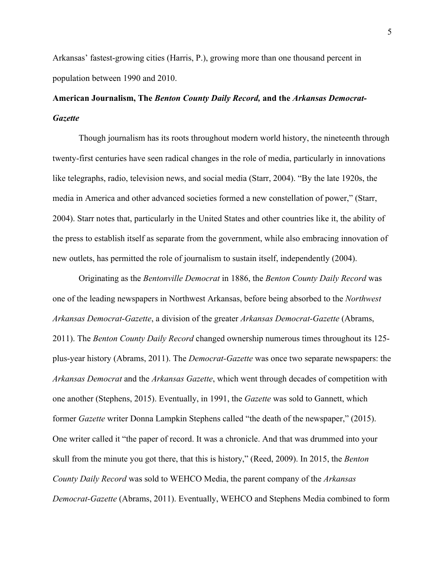Arkansas' fastest-growing cities (Harris, P.), growing more than one thousand percent in population between 1990 and 2010.

## **American Journalism, The** *Benton County Daily Record,* **and the** *Arkansas Democrat-Gazette*

Though journalism has its roots throughout modern world history, the nineteenth through twenty-first centuries have seen radical changes in the role of media, particularly in innovations like telegraphs, radio, television news, and social media (Starr, 2004). "By the late 1920s, the media in America and other advanced societies formed a new constellation of power," (Starr, 2004). Starr notes that, particularly in the United States and other countries like it, the ability of the press to establish itself as separate from the government, while also embracing innovation of new outlets, has permitted the role of journalism to sustain itself, independently (2004).

Originating as the *Bentonville Democrat* in 1886, the *Benton County Daily Record* was one of the leading newspapers in Northwest Arkansas, before being absorbed to the *Northwest Arkansas Democrat-Gazette*, a division of the greater *Arkansas Democrat-Gazette* (Abrams, 2011). The *Benton County Daily Record* changed ownership numerous times throughout its 125 plus-year history (Abrams, 2011). The *Democrat-Gazette* was once two separate newspapers: the *Arkansas Democrat* and the *Arkansas Gazette*, which went through decades of competition with one another (Stephens, 2015). Eventually, in 1991, the *Gazette* was sold to Gannett, which former *Gazette* writer Donna Lampkin Stephens called "the death of the newspaper," (2015). One writer called it "the paper of record. It was a chronicle. And that was drummed into your skull from the minute you got there, that this is history," (Reed, 2009). In 2015, the *Benton County Daily Record* was sold to WEHCO Media, the parent company of the *Arkansas Democrat-Gazette* (Abrams, 2011). Eventually, WEHCO and Stephens Media combined to form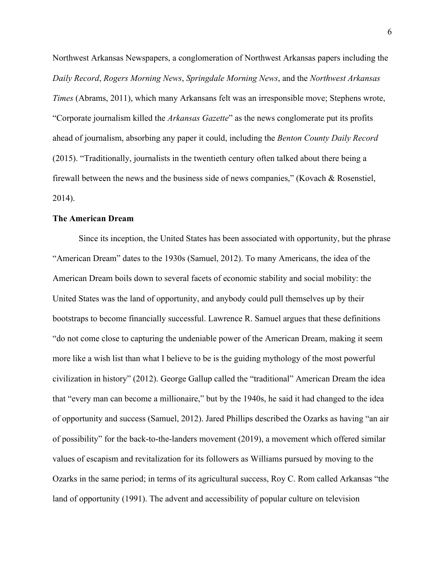Northwest Arkansas Newspapers, a conglomeration of Northwest Arkansas papers including the *Daily Record*, *Rogers Morning News*, *Springdale Morning News*, and the *Northwest Arkansas Times* (Abrams, 2011), which many Arkansans felt was an irresponsible move; Stephens wrote, "Corporate journalism killed the *Arkansas Gazette*" as the news conglomerate put its profits ahead of journalism, absorbing any paper it could, including the *Benton County Daily Record* (2015). "Traditionally, journalists in the twentieth century often talked about there being a firewall between the news and the business side of news companies," (Kovach & Rosenstiel, 2014).

#### **The American Dream**

Since its inception, the United States has been associated with opportunity, but the phrase "American Dream" dates to the 1930s (Samuel, 2012). To many Americans, the idea of the American Dream boils down to several facets of economic stability and social mobility: the United States was the land of opportunity, and anybody could pull themselves up by their bootstraps to become financially successful. Lawrence R. Samuel argues that these definitions "do not come close to capturing the undeniable power of the American Dream, making it seem more like a wish list than what I believe to be is the guiding mythology of the most powerful civilization in history" (2012). George Gallup called the "traditional" American Dream the idea that "every man can become a millionaire," but by the 1940s, he said it had changed to the idea of opportunity and success (Samuel, 2012). Jared Phillips described the Ozarks as having "an air of possibility" for the back-to-the-landers movement (2019), a movement which offered similar values of escapism and revitalization for its followers as Williams pursued by moving to the Ozarks in the same period; in terms of its agricultural success, Roy C. Rom called Arkansas "the land of opportunity (1991). The advent and accessibility of popular culture on television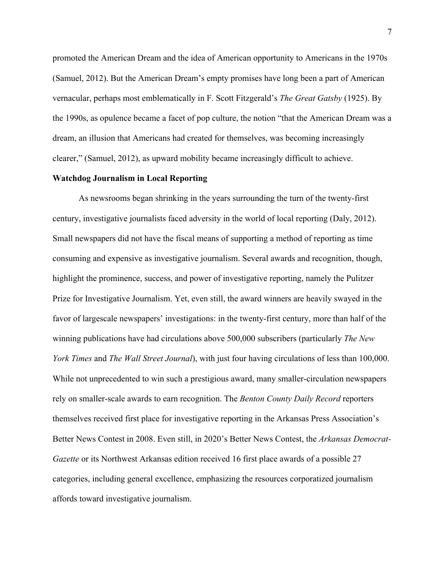promoted the American Dream and the idea of American opportunity to Americans in the 1970s (Samuel, 2012). But the American Dream's empty promises have long been a part of American vernacular, perhaps most emblematically in F. Scott Fitzgerald's *The Great Gatsby* (1925). By the 1990s, as opulence became a facet of pop culture, the notion "that the American Dream was a dream, an illusion that Americans had created for themselves, was becoming increasingly clearer," (Samuel, 2012), as upward mobility became increasingly difficult to achieve.

#### **Watchdog Journalism in Local Reporting**

As newsrooms began shrinking in the years surrounding the turn of the twenty-first century, investigative journalists faced adversity in the world of local reporting (Daly, 2012). Small newspapers did not have the fiscal means of supporting a method of reporting as time consuming and expensive as investigative journalism. Several awards and recognition, though, highlight the prominence, success, and power of investigative reporting, namely the Pulitzer Prize for Investigative Journalism. Yet, even still, the award winners are heavily swayed in the favor of largescale newspapers' investigations: in the twenty-first century, more than half of the winning publications have had circulations above 500,000 subscribers (particularly *The New York Times* and *The Wall Street Journal*), with just four having circulations of less than 100,000. While not unprecedented to win such a prestigious award, many smaller-circulation newspapers rely on smaller-scale awards to earn recognition. The *Benton County Daily Record* reporters themselves received first place for investigative reporting in the Arkansas Press Association's Better News Contest in 2008. Even still, in 2020's Better News Contest, the *Arkansas Democrat-Gazette* or its Northwest Arkansas edition received 16 first place awards of a possible 27 categories, including general excellence, emphasizing the resources corporatized journalism affords toward investigative journalism.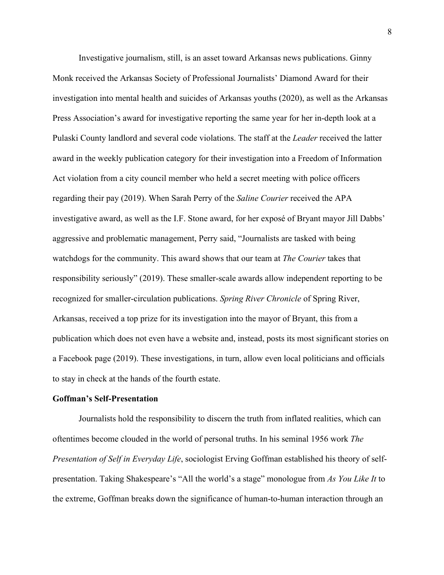Investigative journalism, still, is an asset toward Arkansas news publications. Ginny Monk received the Arkansas Society of Professional Journalists' Diamond Award for their investigation into mental health and suicides of Arkansas youths (2020), as well as the Arkansas Press Association's award for investigative reporting the same year for her in-depth look at a Pulaski County landlord and several code violations. The staff at the *Leader* received the latter award in the weekly publication category for their investigation into a Freedom of Information Act violation from a city council member who held a secret meeting with police officers regarding their pay (2019). When Sarah Perry of the *Saline Courier* received the APA investigative award, as well as the I.F. Stone award, for her exposé of Bryant mayor Jill Dabbs' aggressive and problematic management, Perry said, "Journalists are tasked with being watchdogs for the community. This award shows that our team at *The Courier* takes that responsibility seriously" (2019). These smaller-scale awards allow independent reporting to be recognized for smaller-circulation publications. *Spring River Chronicle* of Spring River, Arkansas, received a top prize for its investigation into the mayor of Bryant, this from a publication which does not even have a website and, instead, posts its most significant stories on a Facebook page (2019). These investigations, in turn, allow even local politicians and officials to stay in check at the hands of the fourth estate.

#### **Goffman's Self-Presentation**

Journalists hold the responsibility to discern the truth from inflated realities, which can oftentimes become clouded in the world of personal truths. In his seminal 1956 work *The Presentation of Self in Everyday Life*, sociologist Erving Goffman established his theory of selfpresentation. Taking Shakespeare's "All the world's a stage" monologue from *As You Like It* to the extreme, Goffman breaks down the significance of human-to-human interaction through an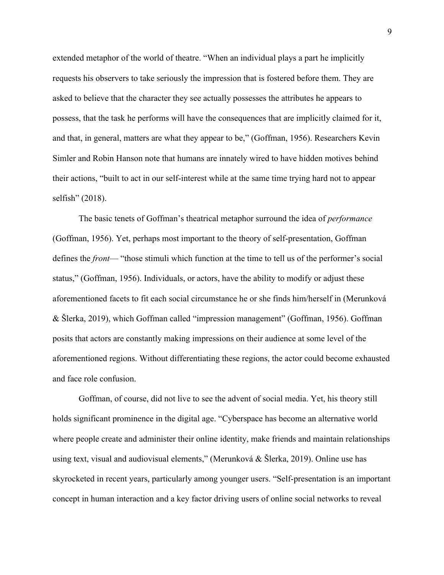extended metaphor of the world of theatre. "When an individual plays a part he implicitly requests his observers to take seriously the impression that is fostered before them. They are asked to believe that the character they see actually possesses the attributes he appears to possess, that the task he performs will have the consequences that are implicitly claimed for it, and that, in general, matters are what they appear to be," (Goffman, 1956). Researchers Kevin Simler and Robin Hanson note that humans are innately wired to have hidden motives behind their actions, "built to act in our self-interest while at the same time trying hard not to appear selfish" (2018).

The basic tenets of Goffman's theatrical metaphor surround the idea of *performance* (Goffman, 1956). Yet, perhaps most important to the theory of self-presentation, Goffman defines the *front*— "those stimuli which function at the time to tell us of the performer's social status," (Goffman, 1956). Individuals, or actors, have the ability to modify or adjust these aforementioned facets to fit each social circumstance he or she finds him/herself in (Merunková & Šlerka, 2019), which Goffman called "impression management" (Goffman, 1956). Goffman posits that actors are constantly making impressions on their audience at some level of the aforementioned regions. Without differentiating these regions, the actor could become exhausted and face role confusion.

Goffman, of course, did not live to see the advent of social media. Yet, his theory still holds significant prominence in the digital age. "Cyberspace has become an alternative world where people create and administer their online identity, make friends and maintain relationships using text, visual and audiovisual elements," (Merunková & Šlerka, 2019). Online use has skyrocketed in recent years, particularly among younger users. "Self-presentation is an important concept in human interaction and a key factor driving users of online social networks to reveal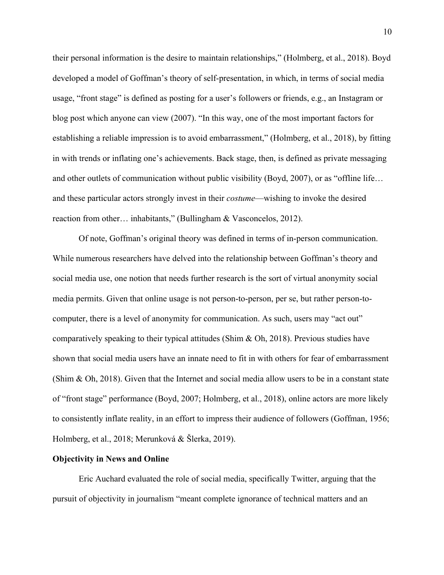their personal information is the desire to maintain relationships," (Holmberg, et al., 2018). Boyd developed a model of Goffman's theory of self-presentation, in which, in terms of social media usage, "front stage" is defined as posting for a user's followers or friends, e.g., an Instagram or blog post which anyone can view (2007). "In this way, one of the most important factors for establishing a reliable impression is to avoid embarrassment," (Holmberg, et al., 2018), by fitting in with trends or inflating one's achievements. Back stage, then, is defined as private messaging and other outlets of communication without public visibility (Boyd, 2007), or as "offline life… and these particular actors strongly invest in their *costume*—wishing to invoke the desired reaction from other… inhabitants," (Bullingham & Vasconcelos, 2012).

Of note, Goffman's original theory was defined in terms of in-person communication. While numerous researchers have delved into the relationship between Goffman's theory and social media use, one notion that needs further research is the sort of virtual anonymity social media permits. Given that online usage is not person-to-person, per se, but rather person-tocomputer, there is a level of anonymity for communication. As such, users may "act out" comparatively speaking to their typical attitudes (Shim & Oh, 2018). Previous studies have shown that social media users have an innate need to fit in with others for fear of embarrassment (Shim & Oh, 2018). Given that the Internet and social media allow users to be in a constant state of "front stage" performance (Boyd, 2007; Holmberg, et al., 2018), online actors are more likely to consistently inflate reality, in an effort to impress their audience of followers (Goffman, 1956; Holmberg, et al., 2018; Merunková & Šlerka, 2019).

#### **Objectivity in News and Online**

Eric Auchard evaluated the role of social media, specifically Twitter, arguing that the pursuit of objectivity in journalism "meant complete ignorance of technical matters and an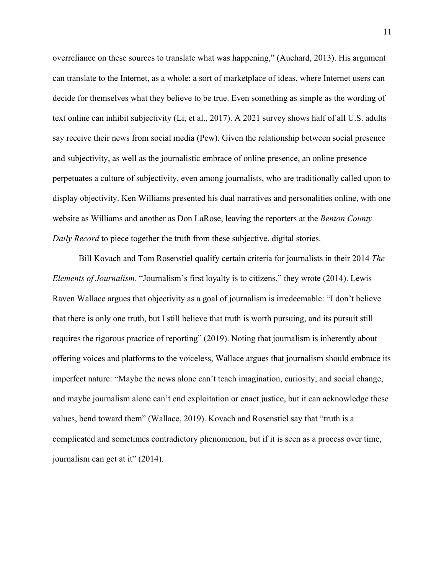overreliance on these sources to translate what was happening," (Auchard, 2013). His argument can translate to the Internet, as a whole: a sort of marketplace of ideas, where Internet users can decide for themselves what they believe to be true. Even something as simple as the wording of text online can inhibit subjectivity (Li, et al., 2017). A 2021 survey shows half of all U.S. adults say receive their news from social media (Pew). Given the relationship between social presence and subjectivity, as well as the journalistic embrace of online presence, an online presence perpetuates a culture of subjectivity, even among journalists, who are traditionally called upon to display objectivity. Ken Williams presented his dual narratives and personalities online, with one website as Williams and another as Don LaRose, leaving the reporters at the *Benton County Daily Record* to piece together the truth from these subjective, digital stories.

Bill Kovach and Tom Rosenstiel qualify certain criteria for journalists in their 2014 *The Elements of Journalism*. "Journalism's first loyalty is to citizens," they wrote (2014). Lewis Raven Wallace argues that objectivity as a goal of journalism is irredeemable: "I don't believe that there is only one truth, but I still believe that truth is worth pursuing, and its pursuit still requires the rigorous practice of reporting" (2019). Noting that journalism is inherently about offering voices and platforms to the voiceless, Wallace argues that journalism should embrace its imperfect nature: "Maybe the news alone can't teach imagination, curiosity, and social change, and maybe journalism alone can't end exploitation or enact justice, but it can acknowledge these values, bend toward them" (Wallace, 2019). Kovach and Rosenstiel say that "truth is a complicated and sometimes contradictory phenomenon, but if it is seen as a process over time, journalism can get at it" (2014).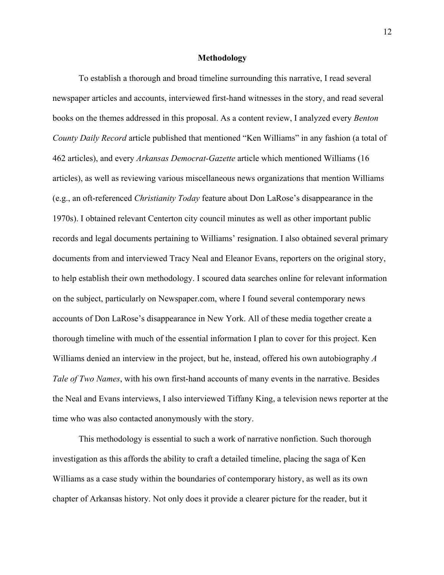#### **Methodology**

To establish a thorough and broad timeline surrounding this narrative, I read several newspaper articles and accounts, interviewed first-hand witnesses in the story, and read several books on the themes addressed in this proposal. As a content review, I analyzed every *Benton County Daily Record* article published that mentioned "Ken Williams" in any fashion (a total of 462 articles), and every *Arkansas Democrat-Gazette* article which mentioned Williams (16 articles), as well as reviewing various miscellaneous news organizations that mention Williams (e.g., an oft-referenced *Christianity Today* feature about Don LaRose's disappearance in the 1970s). I obtained relevant Centerton city council minutes as well as other important public records and legal documents pertaining to Williams' resignation. I also obtained several primary documents from and interviewed Tracy Neal and Eleanor Evans, reporters on the original story, to help establish their own methodology. I scoured data searches online for relevant information on the subject, particularly on Newspaper.com, where I found several contemporary news accounts of Don LaRose's disappearance in New York. All of these media together create a thorough timeline with much of the essential information I plan to cover for this project. Ken Williams denied an interview in the project, but he, instead, offered his own autobiography *A Tale of Two Names*, with his own first-hand accounts of many events in the narrative. Besides the Neal and Evans interviews, I also interviewed Tiffany King, a television news reporter at the time who was also contacted anonymously with the story.

This methodology is essential to such a work of narrative nonfiction. Such thorough investigation as this affords the ability to craft a detailed timeline, placing the saga of Ken Williams as a case study within the boundaries of contemporary history, as well as its own chapter of Arkansas history. Not only does it provide a clearer picture for the reader, but it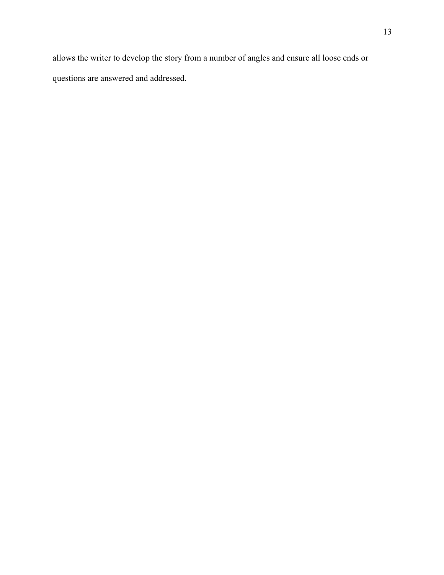allows the writer to develop the story from a number of angles and ensure all loose ends or questions are answered and addressed.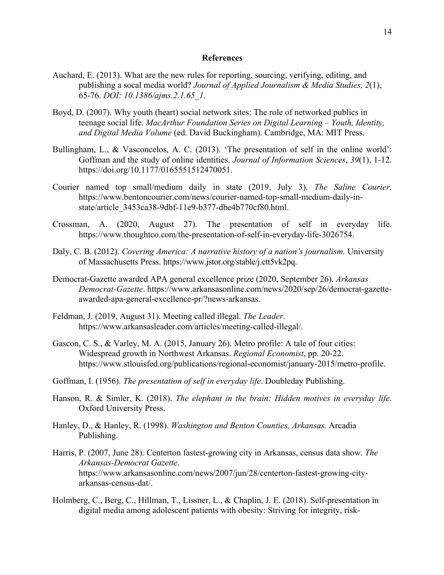#### **References**

- Auchard, E. (2013). What are the new rules for reporting, sourcing, verifying, editing, and publishing a socal media world? *Journal of Applied Journalism & Media Studies, 2*(1), 65-76. *DOI: 10.1386/ajms.2.1.65\_1.*
- Boyd, D. (2007). Why youth (heart) social network sites: The role of networked publics in teenage social life. *MacArthur Foundation Series on Digital Learning – Youth, Identity, and Digital Media Volume* (ed. David Buckingham). Cambridge, MA: MIT Press.
- Bullingham, L., & Vasconcelos, A. C. (2013). 'The presentation of self in the online world': Goffman and the study of online identities. *Journal of Information Sciences*, *39*(1), 1-12. https://doi.org/10.1177/0165551512470051.
- Courier named top small/medium daily in state (2019, July 3). *The Saline Courier*. https://www.bentoncourier.com/news/courier-named-top-small-medium-daily-instate/article\_3453ca38-9dbf-11e9-b377-dbe4b770cf80.html.
- Crossman, A. (2020, August 27). The presentation of self in everyday life. https://www.thoughtco.com/the-presentation-of-self-in-everyday-life-3026754.
- Daly, C. B. (2012). *Covering America: A narrative history of a nation's journalism*. University of Massachusetts Press. https://www.jstor.org/stable/j.ctt5vk2pq.
- Democrat-Gazette awarded APA general excellence prize (2020, September 26). *Arkansas Democrat-Gazette*. https://www.arkansasonline.com/news/2020/sep/26/democrat-gazetteawarded-apa-general-excellence-pr/?news-arkansas.
- Feldman, J. (2019, August 31). Meeting called illegal. *The Leader*. https://www.arkansasleader.com/articles/meeting-called-illegal/.
- Gascon, C. S., & Varley, M. A. (2015, January 26). Metro profile: A tale of four cities: Widespread growth in Northwest Arkansas. *Regional Economist*, pp. 20-22. https://www.stlouisfed.org/publications/regional-economist/january-2015/metro-profile.
- Goffman, I. (1956). *The presentation of self in everyday life*. Doubleday Publishing.
- Hanson, R. & Simler, K. (2018). *The elephant in the brain: Hidden motives in everyday life*. Oxford University Press.
- Hanley, D., & Hanley, R. (1998). *Washington and Benton Counties, Arkansas.* Arcadia Publishing.
- Harris, P. (2007, June 28). Centerton fastest-growing city in Arkansas, census data show. *The Arkansas-Democrat Gazette*. https://www.arkansasonline.com/news/2007/jun/28/centerton-fastest-growing-cityarkansas-census-dat/.
- Holmberg, C., Berg, C., Hillman, T., Lissner, L., & Chaplin, J. E. (2018). Self-presentation in digital media among adolescent patients with obesity: Striving for integrity, risk-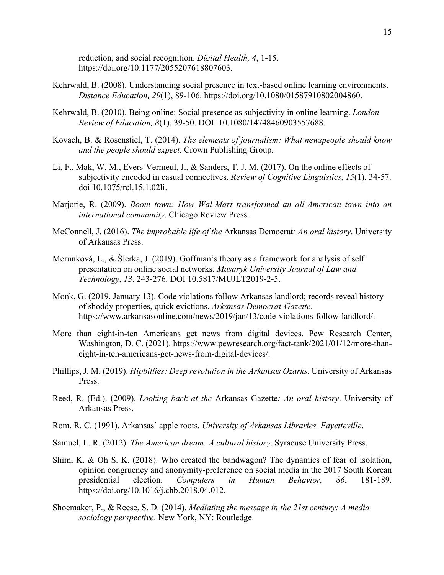reduction, and social recognition. *Digital Health, 4*, 1-15. https://doi.org/10.1177/2055207618807603.

- Kehrwald, B. (2008). Understanding social presence in text-based online learning environments. *Distance Education, 29*(1), 89-106. https://doi.org/10.1080/01587910802004860.
- Kehrwald, B. (2010). Being online: Social presence as subjectivity in online learning. *London Review of Education, 8*(1), 39-50. DOI: 10.1080/14748460903557688.
- Kovach, B. & Rosenstiel, T. (2014). *The elements of journalism: What newspeople should know and the people should expect*. Crown Publishing Group.
- Li, F., Mak, W. M., Evers-Vermeul, J., & Sanders, T. J. M. (2017). On the online effects of subjectivity encoded in casual connectives. *Review of Cognitive Linguistics*, *15*(1), 34-57. doi 10.1075/rcl.15.1.02li.
- Marjorie, R. (2009). *Boom town: How Wal-Mart transformed an all-American town into an international community*. Chicago Review Press.
- McConnell, J. (2016). *The improbable life of the* Arkansas Democrat*: An oral history*. University of Arkansas Press.
- Merunková, L., & Šlerka, J. (2019). Goffman's theory as a framework for analysis of self presentation on online social networks. *Masaryk University Journal of Law and Technology*, *13*, 243-276. DOI 10.5817/MUJLT2019-2-5.
- Monk, G. (2019, January 13). Code violations follow Arkansas landlord; records reveal history of shoddy properties, quick evictions. *Arkansas Democrat-Gazette*. https://www.arkansasonline.com/news/2019/jan/13/code-violations-follow-landlord/.
- More than eight-in-ten Americans get news from digital devices. Pew Research Center, Washington, D. C. (2021). https://www.pewresearch.org/fact-tank/2021/01/12/more-thaneight-in-ten-americans-get-news-from-digital-devices/.
- Phillips, J. M. (2019). *Hipbillies: Deep revolution in the Arkansas Ozarks*. University of Arkansas Press.
- Reed, R. (Ed.). (2009). *Looking back at the* Arkansas Gazette*: An oral history*. University of Arkansas Press.
- Rom, R. C. (1991). Arkansas' apple roots. *University of Arkansas Libraries, Fayetteville*.
- Samuel, L. R. (2012). *The American dream: A cultural history*. Syracuse University Press.
- Shim, K. & Oh S. K. (2018). Who created the bandwagon? The dynamics of fear of isolation, opinion congruency and anonymity-preference on social media in the 2017 South Korean presidential election. *Computers in Human Behavior, 86*, 181-189. https://doi.org/10.1016/j.chb.2018.04.012.
- Shoemaker, P., & Reese, S. D. (2014). *Mediating the message in the 21st century: A media sociology perspective*. New York, NY: Routledge.